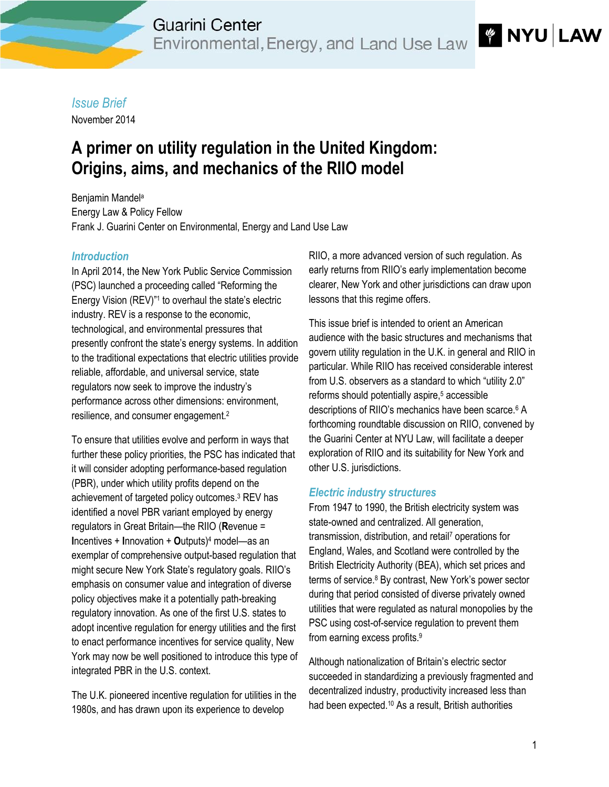## *Issue Brief*

November 2014

# **A primer on utility regulation in the United Kingdom: Origins, aims, and mechanics of the RIIO model**

Benjamin Mandel<sup>a</sup> Energy Law & Policy Fellow Frank J. Guarini [Center on Environmental, Energy and Land Use Law](http://guarinicenter.org/)

### *Introduction*

In April 2014, the New York Public Service Commission (PSC) launched a proceeding called "Reforming the Energy Vision (REV)"<sup>1</sup> to overhaul the state's electric industry. REV is a response to the economic, technological, and environmental pressures that presently confront the state's energy systems. In addition to the traditional expectations that electric utilities provide reliable, affordable, and universal service, state regulators now seek to improve the industry's performance across other dimensions: environment, resilience, and consumer engagement.<sup>2</sup>

To ensure that utilities evolve and perform in ways that further these policy priorities, the PSC has indicated that it will consider adopting performance-based regulation (PBR), under which utility profits depend on the achievement of targeted policy outcomes.<sup>3</sup> REV has identified a novel PBR variant employed by energy regulators in Great Britain—the RIIO (**R**evenue = **I**ncentives + **I**nnovation + **O**utputs) <sup>4</sup> model—as an exemplar of comprehensive output-based regulation that might secure New York State's regulatory goals. RIIO's emphasis on consumer value and integration of diverse policy objectives make it a potentially path-breaking regulatory innovation. As one of the first U.S. states to adopt incentive regulation for energy utilities and the first to enact performance incentives for service quality, New York may now be well positioned to introduce this type of integrated PBR in the U.S. context.

The U.K. pioneered incentive regulation for utilities in the 1980s, and has drawn upon its experience to develop

RIIO, a more advanced version of such regulation. As early returns from RIIO's early implementation become clearer, New York and other jurisdictions can draw upon lessons that this regime offers.

This issue brief is intended to orient an American audience with the basic structures and mechanisms that govern utility regulation in the U.K. in general and RIIO in particular. While RIIO has received considerable interest from U.S. observers as a standard to which "utility 2.0" reforms should potentially aspire, <sup>5</sup> accessible descriptions of RIIO's mechanics have been scarce.<sup>6</sup> A forthcoming roundtable discussion on RIIO, convened by the Guarini Center at NYU Law, will facilitate a deeper exploration of RIIO and its suitability for New York and other U.S. jurisdictions.

#### *Electric industry structures*

From 1947 to 1990, the British electricity system was state-owned and centralized. All generation, transmission, distribution, and retail<sup>7</sup> operations for England, Wales, and Scotland were controlled by the British Electricity Authority (BEA), which set prices and terms of service. <sup>8</sup> By contrast, New York's power sector during that period consisted of diverse privately owned utilities that were regulated as natural monopolies by the PSC using cost-of-service regulation to prevent them from earning excess profits. 9

Although nationalization of Britain's electric sector succeeded in standardizing a previously fragmented and decentralized industry, productivity increased less than had been expected.<sup>10</sup> As a result, British authorities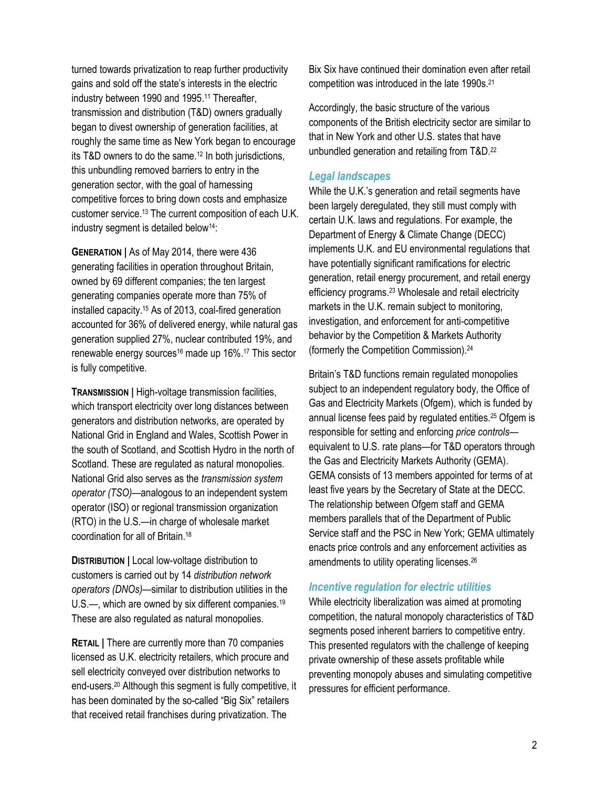turned towards privatization to reap further productivity gains and sold off the state's interests in the electric industry between 1990 and 1995.<sup>11</sup> Thereafter, transmission and distribution (T&D) owners gradually began to divest ownership of generation facilities, at roughly the same time as New York began to encourage its T&D owners to do the same. <sup>12</sup> In both jurisdictions, this unbundling removed barriers to entry in the generation sector, with the goal of harnessing competitive forces to bring down costs and emphasize customer service.<sup>13</sup> The current composition of each U.K. industry segment is detailed below<sup>14</sup>:

**GENERATION |** As of May 2014, there were 436 generating facilities in operation throughout Britain, owned by 69 different companies; the ten largest generating companies operate more than 75% of installed capacity.<sup>15</sup> As of 2013, coal-fired generation accounted for 36% of delivered energy, while natural gas generation supplied 27%, nuclear contributed 19%, and renewable energy sources<sup>16</sup> made up 16%.<sup>17</sup> This sector is fully competitive.

**TRANSMISSION |** High-voltage transmission facilities, which transport electricity over long distances between generators and distribution networks, are operated by National Grid in England and Wales, Scottish Power in the south of Scotland, and Scottish Hydro in the north of Scotland. These are regulated as natural monopolies. National Grid also serves as the *transmission system operator (TSO)*—analogous to an independent system operator (ISO) or regional transmission organization (RTO) in the U.S.—in charge of wholesale market coordination for all of Britain. 18

**DISTRIBUTION |** Local low-voltage distribution to customers is carried out by 14 *distribution network operators (DNOs)*—similar to distribution utilities in the U.S.—, which are owned by six different companies.<sup>19</sup> These are also regulated as natural monopolies.

**RETAIL |** There are currently more than 70 companies licensed as U.K. electricity retailers, which procure and sell electricity conveyed over distribution networks to end-users.<sup>20</sup> Although this segment is fully competitive, it has been dominated by the so-called "Big Six" retailers that received retail franchises during privatization. The

Bix Six have continued their domination even after retail competition was introduced in the late 1990s.<sup>21</sup>

Accordingly, the basic structure of the various components of the British electricity sector are similar to that in New York and other U.S. states that have unbundled generation and retailing from T&D.<sup>22</sup>

#### *Legal landscapes*

While the U.K.'s generation and retail segments have been largely deregulated, they still must comply with certain U.K. laws and regulations. For example, the Department of Energy & Climate Change (DECC) implements U.K. and EU environmental regulations that have potentially significant ramifications for electric generation, retail energy procurement, and retail energy efficiency programs.<sup>23</sup> Wholesale and retail electricity markets in the U.K. remain subject to monitoring, investigation, and enforcement for anti-competitive behavior by the Competition & Markets Authority (formerly the Competition Commission).<sup>24</sup>

Britain's T&D functions remain regulated monopolies subject to an independent regulatory body, the Office of Gas and Electricity Markets (Ofgem), which is funded by annual license fees paid by regulated entities.<sup>25</sup> Ofgem is responsible for setting and enforcing *price controls* equivalent to U.S. rate plans—for T&D operators through the Gas and Electricity Markets Authority (GEMA). GEMA consists of 13 members appointed for terms of at least five years by the Secretary of State at the DECC. The relationship between Ofgem staff and GEMA members parallels that of the Department of Public Service staff and the PSC in New York; GEMA ultimately enacts price controls and any enforcement activities as amendments to utility operating licenses.<sup>26</sup>

#### *Incentive regulation for electric utilities*

While electricity liberalization was aimed at promoting competition, the natural monopoly characteristics of T&D segments posed inherent barriers to competitive entry. This presented regulators with the challenge of keeping private ownership of these assets profitable while preventing monopoly abuses and simulating competitive pressures for efficient performance.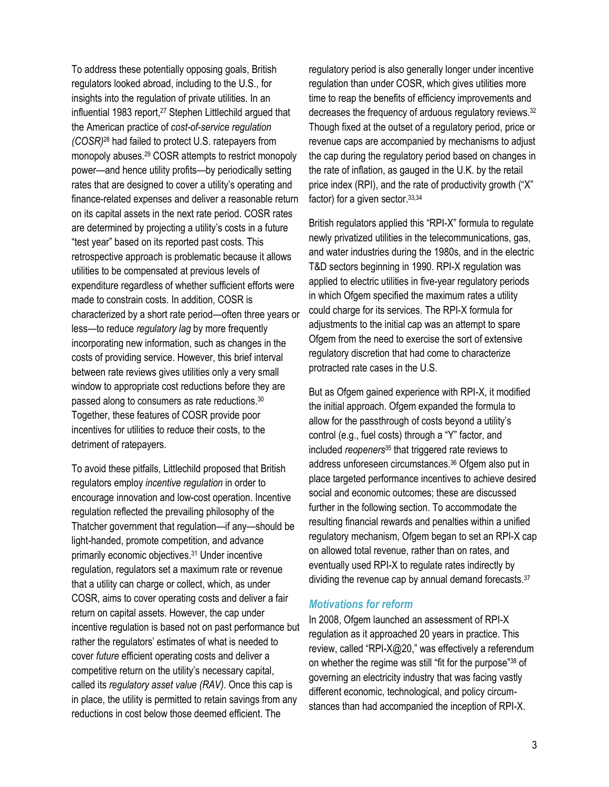To address these potentially opposing goals, British regulators looked abroad, including to the U.S., for insights into the regulation of private utilities. In an influential 1983 report, <sup>27</sup> Stephen Littlechild argued that the American practice of *cost-of-service regulation (COSR)*<sup>28</sup> had failed to protect U.S. ratepayers from monopoly abuses.<sup>29</sup> COSR attempts to restrict monopoly power—and hence utility profits—by periodically setting rates that are designed to cover a utility's operating and finance-related expenses and deliver a reasonable return on its capital assets in the next rate period. COSR rates are determined by projecting a utility's costs in a future "test year" based on its reported past costs. This retrospective approach is problematic because it allows utilities to be compensated at previous levels of expenditure regardless of whether sufficient efforts were made to constrain costs. In addition, COSR is characterized by a short rate period—often three years or less—to reduce *regulatory lag* by more frequently incorporating new information, such as changes in the costs of providing service. However, this brief interval between rate reviews gives utilities only a very small window to appropriate cost reductions before they are passed along to consumers as rate reductions.<sup>30</sup> Together, these features of COSR provide poor incentives for utilities to reduce their costs, to the detriment of ratepayers.

To avoid these pitfalls, Littlechild proposed that British regulators employ *incentive regulation* in order to encourage innovation and low-cost operation. Incentive regulation reflected the prevailing philosophy of the Thatcher government that regulation—if any—should be light-handed, promote competition, and advance primarily economic objectives.<sup>31</sup> Under incentive regulation, regulators set a maximum rate or revenue that a utility can charge or collect, which, as under COSR, aims to cover operating costs and deliver a fair return on capital assets. However, the cap under incentive regulation is based not on past performance but rather the regulators' estimates of what is needed to cover *future* efficient operating costs and deliver a competitive return on the utility's necessary capital, called its *regulatory asset value (RAV)*. Once this cap is in place, the utility is permitted to retain savings from any reductions in cost below those deemed efficient. The

regulatory period is also generally longer under incentive regulation than under COSR, which gives utilities more time to reap the benefits of efficiency improvements and decreases the frequency of arduous regulatory reviews.<sup>32</sup> Though fixed at the outset of a regulatory period, price or revenue caps are accompanied by mechanisms to adjust the cap during the regulatory period based on changes in the rate of inflation, as gauged in the U.K. by the retail price index (RPI), and the rate of productivity growth ("X" factor) for a given sector.33,34

British regulators applied this "RPI-X" formula to regulate newly privatized utilities in the telecommunications, gas, and water industries during the 1980s, and in the electric T&D sectors beginning in 1990. RPI-X regulation was applied to electric utilities in five-year regulatory periods in which Ofgem specified the maximum rates a utility could charge for its services. The RPI-X formula for adjustments to the initial cap was an attempt to spare Ofgem from the need to exercise the sort of extensive regulatory discretion that had come to characterize protracted rate cases in the U.S.

But as Ofgem gained experience with RPI-X, it modified the initial approach. Ofgem expanded the formula to allow for the passthrough of costs beyond a utility's control (e.g., fuel costs) through a "Y" factor, and included *reopeners*<sup>35</sup> that triggered rate reviews to address unforeseen circumstances.<sup>36</sup> Ofgem also put in place targeted performance incentives to achieve desired social and economic outcomes; these are discussed further in the following section. To accommodate the resulting financial rewards and penalties within a unified regulatory mechanism, Ofgem began to set an RPI-X cap on allowed total revenue, rather than on rates, and eventually used RPI-X to regulate rates indirectly by dividing the revenue cap by annual demand forecasts.<sup>37</sup>

#### *Motivations for reform*

In 2008, Ofgem launched an assessment of RPI-X regulation as it approached 20 years in practice. This review, called "RPI-X@20," was effectively a referendum on whether the regime was still "fit for the purpose"<sup>38</sup> of governing an electricity industry that was facing vastly different economic, technological, and policy circumstances than had accompanied the inception of RPI-X.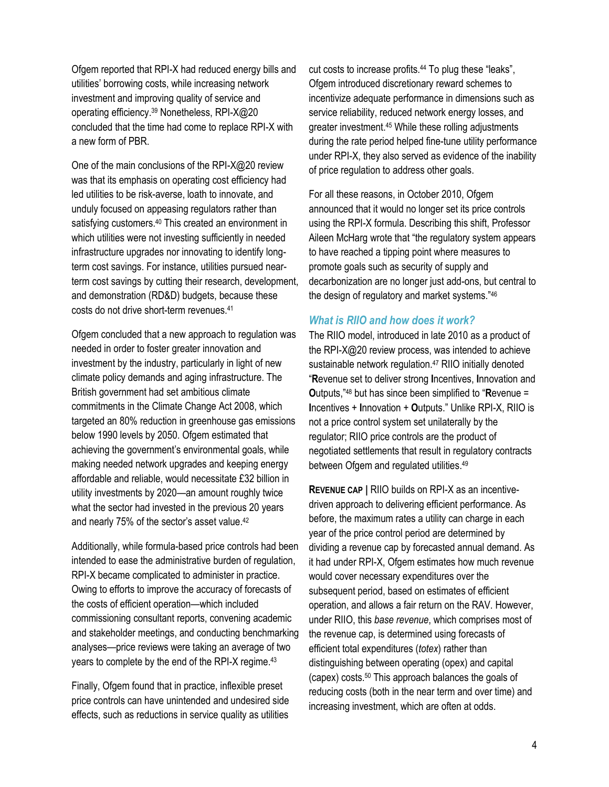Ofgem reported that RPI-X had reduced energy bills and utilities' borrowing costs, while increasing network investment and improving quality of service and operating efficiency.<sup>39</sup> Nonetheless, RPI-X@20 concluded that the time had come to replace RPI-X with a new form of PBR.

One of the main conclusions of the RPI-X@20 review was that its emphasis on operating cost efficiency had led utilities to be risk-averse, loath to innovate, and unduly focused on appeasing regulators rather than satisfying customers.<sup>40</sup> This created an environment in which utilities were not investing sufficiently in needed infrastructure upgrades nor innovating to identify longterm cost savings. For instance, utilities pursued nearterm cost savings by cutting their research, development, and demonstration (RD&D) budgets, because these costs do not drive short-term revenues.<sup>41</sup>

Ofgem concluded that a new approach to regulation was needed in order to foster greater innovation and investment by the industry, particularly in light of new climate policy demands and aging infrastructure. The British government had set ambitious climate commitments in the Climate Change Act 2008, which targeted an 80% reduction in greenhouse gas emissions below 1990 levels by 2050. Ofgem estimated that achieving the government's environmental goals, while making needed network upgrades and keeping energy affordable and reliable, would necessitate £32 billion in utility investments by 2020—an amount roughly twice what the sector had invested in the previous 20 years and nearly 75% of the sector's asset value.<sup>42</sup>

Additionally, while formula-based price controls had been intended to ease the administrative burden of regulation, RPI-X became complicated to administer in practice. Owing to efforts to improve the accuracy of forecasts of the costs of efficient operation—which included commissioning consultant reports, convening academic and stakeholder meetings, and conducting benchmarking analyses—price reviews were taking an average of two years to complete by the end of the RPI-X regime. 43

Finally, Ofgem found that in practice, inflexible preset price controls can have unintended and undesired side effects, such as reductions in service quality as utilities cut costs to increase profits.<sup>44</sup> To plug these "leaks", Ofgem introduced discretionary reward schemes to incentivize adequate performance in dimensions such as service reliability, reduced network energy losses, and greater investment.<sup>45</sup> While these rolling adjustments during the rate period helped fine-tune utility performance under RPI-X, they also served as evidence of the inability of price regulation to address other goals.

For all these reasons, in October 2010, Ofgem announced that it would no longer set its price controls using the RPI-X formula. Describing this shift, Professor Aileen McHarg wrote that "the regulatory system appears to have reached a tipping point where measures to promote goals such as security of supply and decarbonization are no longer just add-ons, but central to the design of regulatory and market systems."<sup>46</sup>

#### *What is RIIO and how does it work?*

The RIIO model, introduced in late 2010 as a product of the RPI-X@20 review process, was intended to achieve sustainable network regulation. <sup>47</sup> RIIO initially denoted "**R**evenue set to deliver strong **I**ncentives, **I**nnovation and **O**utputs,"<sup>48</sup> but has since been simplified to "**R**evenue = **I**ncentives + **I**nnovation + **O**utputs." Unlike RPI-X, RIIO is not a price control system set unilaterally by the regulator; RIIO price controls are the product of negotiated settlements that result in regulatory contracts between Ofgem and regulated utilities.<sup>49</sup>

**REVENUE CAP |** RIIO builds on RPI-X as an incentivedriven approach to delivering efficient performance. As before, the maximum rates a utility can charge in each year of the price control period are determined by dividing a revenue cap by forecasted annual demand. As it had under RPI-X, Ofgem estimates how much revenue would cover necessary expenditures over the subsequent period, based on estimates of efficient operation, and allows a fair return on the RAV. However, under RIIO, this *base revenue*, which comprises most of the revenue cap, is determined using forecasts of efficient total expenditures (*totex*) rather than distinguishing between operating (opex) and capital (capex) costs.<sup>50</sup> This approach balances the goals of reducing costs (both in the near term and over time) and increasing investment, which are often at odds.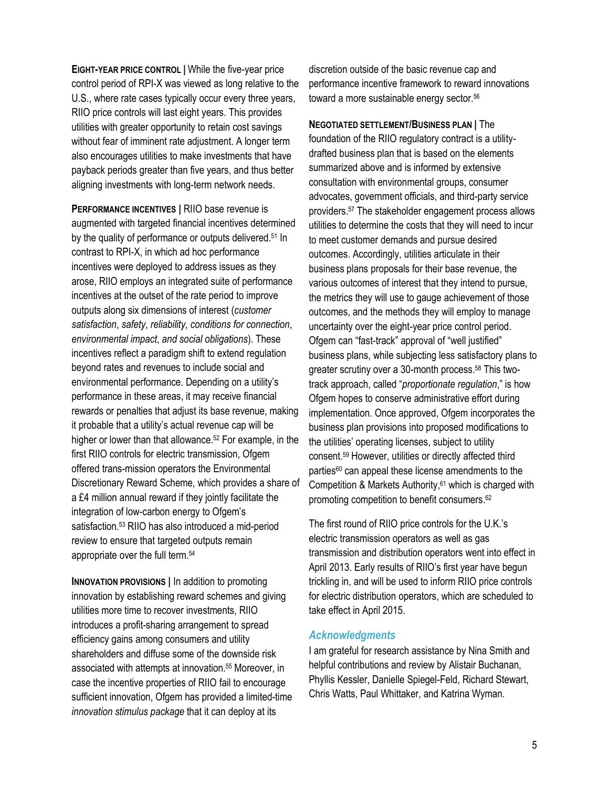**EIGHT-YEAR PRICE CONTROL |** While the five-year price control period of RPI-X was viewed as long relative to the U.S., where rate cases typically occur every three years, RIIO price controls will last eight years. This provides utilities with greater opportunity to retain cost savings without fear of imminent rate adjustment. A longer term also encourages utilities to make investments that have payback periods greater than five years, and thus better aligning investments with long-term network needs.

**PERFORMANCE INCENTIVES |** RIIO base revenue is augmented with targeted financial incentives determined by the quality of performance or outputs delivered.<sup>51</sup> In contrast to RPI-X, in which ad hoc performance incentives were deployed to address issues as they arose, RIIO employs an integrated suite of performance incentives at the outset of the rate period to improve outputs along six dimensions of interest (*customer satisfaction*, *safety*, *reliability*, *conditions for connection*, *environmental impact*, *and social obligations*). These incentives reflect a paradigm shift to extend regulation beyond rates and revenues to include social and environmental performance. Depending on a utility's performance in these areas, it may receive financial rewards or penalties that adjust its base revenue, making it probable that a utility's actual revenue cap will be higher or lower than that allowance. <sup>52</sup> For example, in the first RIIO controls for electric transmission, Ofgem offered trans-mission operators the Environmental Discretionary Reward Scheme, which provides a share of a £4 million annual reward if they jointly facilitate the integration of low-carbon energy to Ofgem's satisfaction.<sup>53</sup> RIIO has also introduced a mid-period review to ensure that targeted outputs remain appropriate over the full term.<sup>54</sup>

**INNOVATION PROVISIONS |** In addition to promoting innovation by establishing reward schemes and giving utilities more time to recover investments, RIIO introduces a profit-sharing arrangement to spread efficiency gains among consumers and utility shareholders and diffuse some of the downside risk associated with attempts at innovation.<sup>55</sup> Moreover, in case the incentive properties of RIIO fail to encourage sufficient innovation, Ofgem has provided a limited-time *innovation stimulus package* that it can deploy at its

discretion outside of the basic revenue cap and performance incentive framework to reward innovations toward a more sustainable energy sector.<sup>56</sup>

**NEGOTIATED SETTLEMENT/BUSINESS PLAN |** The foundation of the RIIO regulatory contract is a utilitydrafted business plan that is based on the elements summarized above and is informed by extensive consultation with environmental groups, consumer advocates, government officials, and third-party service providers. <sup>57</sup> The stakeholder engagement process allows utilities to determine the costs that they will need to incur to meet customer demands and pursue desired outcomes. Accordingly, utilities articulate in their business plans proposals for their base revenue, the various outcomes of interest that they intend to pursue, the metrics they will use to gauge achievement of those outcomes, and the methods they will employ to manage uncertainty over the eight-year price control period. Ofgem can "fast-track" approval of "well justified" business plans, while subjecting less satisfactory plans to greater scrutiny over a 30-month process.<sup>58</sup> This twotrack approach, called "*proportionate regulation*," is how Ofgem hopes to conserve administrative effort during implementation. Once approved, Ofgem incorporates the business plan provisions into proposed modifications to the utilities' operating licenses, subject to utility consent. <sup>59</sup> However, utilities or directly affected third parties<sup>60</sup> can appeal these license amendments to the Competition & Markets Authority, <sup>61</sup> which is charged with promoting competition to benefit consumers. 62

The first round of RIIO price controls for the U.K.'s electric transmission operators as well as gas transmission and distribution operators went into effect in April 2013. Early results of RIIO's first year have begun trickling in, and will be used to inform RIIO price controls for electric distribution operators, which are scheduled to take effect in April 2015.

#### *Acknowledgments*

I am grateful for research assistance by Nina Smith and helpful contributions and review by Alistair Buchanan, Phyllis Kessler, Danielle Spiegel-Feld, Richard Stewart, Chris Watts, Paul Whittaker, and Katrina Wyman.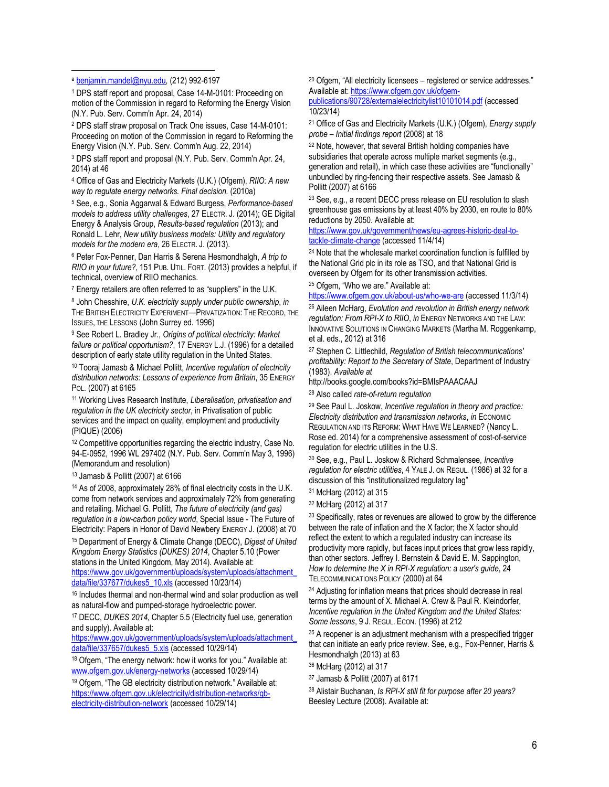$\overline{a}$ 

<sup>1</sup> DPS staff report and proposal, Case 14-M-0101: Proceeding on motion of the Commission in regard to Reforming the Energy Vision (N.Y. Pub. Serv. Comm'n Apr. 24, 2014)

<sup>2</sup> DPS staff straw proposal on Track One issues, Case 14-M-0101: Proceeding on motion of the Commission in regard to Reforming the Energy Vision (N.Y. Pub. Serv. Comm'n Aug. 22, 2014)

<sup>3</sup> DPS staff report and proposal (N.Y. Pub. Serv. Comm'n Apr. 24, 2014) at 46

<sup>4</sup> Office of Gas and Electricity Markets (U.K.) (Ofgem), *RIIO: A new way to regulate energy networks. Final decision.* (2010a)

<sup>5</sup> See, e.g., Sonia Aggarwal & Edward Burgess, *Performance-based models to address utility challenges*, 27 ELECTR. J. (2014); GE Digital Energy & Analysis Group, *Results-based regulation* (2013); and Ronald L. Lehr, *New utility business models: Utility and regulatory models for the modern era*, 26 ELECTR. J. (2013).

<sup>6</sup> Peter Fox-Penner, Dan Harris & Serena Hesmondhalgh, *A trip to RIIO in your future?*, 151 PUB. UTIL. FORT. (2013) provides a helpful, if technical, overview of RIIO mechanics.

<sup>7</sup> Energy retailers are often referred to as "suppliers" in the U.K.

<sup>8</sup> John Chesshire, *U.K. electricity supply under public ownership*, *in*  THE BRITISH ELECTRICITY EXPERIMENT—PRIVATIZATION: THE RECORD, THE ISSUES, THE LESSONS (John Surrey ed. 1996)

<sup>9</sup> See Robert L. Bradley Jr., *Origins of political electricity: Market failure or political opportunism?*, 17 ENERGY L.J. (1996) for a detailed description of early state utility regulation in the United States.

<sup>10</sup> Tooraj Jamasb & Michael Pollitt, *Incentive regulation of electricity distribution networks: Lessons of experience from Britain*, 35 ENERGY POL. (2007) at 6165

<sup>11</sup> Working Lives Research Institute, *Liberalisation, privatisation and regulation in the UK electricity sector*, in Privatisation of public services and the impact on quality, employment and productivity (PIQUE) (2006)

<sup>12</sup> Competitive opportunities regarding the electric industry, Case No. 94-E-0952, 1996 WL 297402 (N.Y. Pub. Serv. Comm'n May 3, 1996) (Memorandum and resolution)

#### <sup>13</sup> Jamasb & Pollitt (2007) at 6166

<sup>14</sup> As of 2008, approximately 28% of final electricity costs in the U.K. come from network services and approximately 72% from generating and retailing. Michael G. Pollitt, *The future of electricity (and gas) regulation in a low-carbon policy world*, Special Issue - The Future of Electricity: Papers in Honor of David Newbery ENERGY J. (2008) at 70

<sup>15</sup> Department of Energy & Climate Change (DECC), *Digest of United Kingdom Energy Statistics (DUKES) 2014*, Chapter 5.10 (Power stations in the United Kingdom, May 2014). Available at:

[https://www.gov.uk/government/uploads/system/uploads/attachment\\_](https://www.gov.uk/government/uploads/system/uploads/attachment_data/file/337677/dukes5_10.xls) [data/file/337677/dukes5\\_10.xls](https://www.gov.uk/government/uploads/system/uploads/attachment_data/file/337677/dukes5_10.xls) (accessed 10/23/14)

<sup>16</sup> Includes thermal and non-thermal wind and solar production as well as natural-flow and pumped-storage hydroelectric power.

<sup>17</sup> DECC, *DUKES 2014*, Chapter 5.5 (Electricity fuel use, generation and supply). Available at:

[https://www.gov.uk/government/uploads/system/uploads/attachment\\_](https://www.gov.uk/government/uploads/system/uploads/attachment_data/file/337657/dukes5_5.xls) [data/file/337657/dukes5\\_5.xls](https://www.gov.uk/government/uploads/system/uploads/attachment_data/file/337657/dukes5_5.xls) (accessed 10/29/14)

18 Ofgem, "The energy network: how it works for you." Available at: [www.ofgem.gov.uk/energy-networks](http://www.ofgem.gov.uk/energy-networks) (accessed 10/29/14)

<sup>19</sup> Ofgem, "The GB electricity distribution network." Available at: [https://www.ofgem.gov.uk/electricity/distribution-networks/gb](https://www.ofgem.gov.uk/electricity/distribution-networks/gb-electricity-distribution-network)[electricity-distribution-network](https://www.ofgem.gov.uk/electricity/distribution-networks/gb-electricity-distribution-network) (accessed 10/29/14)

<sup>20</sup> Ofgem, "All electricity licensees – registered or service addresses." Available at: [https://www.ofgem.gov.uk/ofgem-](https://www.ofgem.gov.uk/ofgem-publications/90728/externalelectricitylist10101014.pdf)

[publications/90728/externalelectricitylist10101014.pdf](https://www.ofgem.gov.uk/ofgem-publications/90728/externalelectricitylist10101014.pdf) (accessed 10/23/14)

<sup>21</sup> Office of Gas and Electricity Markets (U.K.) (Ofgem), *Energy supply probe – Initial findings report* (2008) at 18

<sup>22</sup> Note, however, that several British holding companies have subsidiaries that operate across multiple market segments (e.g., generation and retail), in which case these activities are "functionally" unbundled by ring-fencing their respective assets. See Jamasb & Pollitt (2007) at 6166

 $23$  See, e.g., a recent DECC press release on EU resolution to slash greenhouse gas emissions by at least 40% by 2030, en route to 80% reductions by 2050. Available at:

[https://www.gov.uk/government/news/eu-agrees-historic-deal-to](https://www.gov.uk/government/news/eu-agrees-historic-deal-to-tackle-climate-change)[tackle-climate-change](https://www.gov.uk/government/news/eu-agrees-historic-deal-to-tackle-climate-change) (accessed 11/4/14)

<sup>24</sup> Note that the wholesale market coordination function is fulfilled by the National Grid plc in its role as TSO, and that National Grid is overseen by Ofgem for its other transmission activities.

<sup>25</sup> Ofgem, "Who we are." Available at:

<https://www.ofgem.gov.uk/about-us/who-we-are> (accessed 11/3/14)

<sup>26</sup> Aileen McHarg, *Evolution and revolution in British energy network regulation: From RPI-X to RIIO*, *in* ENERGY NETWORKS AND THE LAW: INNOVATIVE SOLUTIONS IN CHANGING MARKETS (Martha M. Roggenkamp, et al. eds., 2012) at 316

<sup>27</sup> Stephen C. Littlechild, *Regulation of British telecommunications' profitability: Report to the Secretary of State*, Department of Industry (1983). *Available at*

http://books.google.com/books?id=BMIsPAAACAAJ

<sup>28</sup> Also called *rate-of-return regulation*

<sup>29</sup> See Paul L. Joskow, *Incentive regulation in theory and practice: Electricity distribution and transmission networks, in ECONOMIC* REGULATION AND ITS REFORM: WHAT HAVE WE LEARNED? (Nancy L. Rose ed. 2014) for a comprehensive assessment of cost-of-service regulation for electric utilities in the U.S.

<sup>30</sup> See, e.g., Paul L. Joskow & Richard Schmalensee, *Incentive regulation for electric utilities*, 4 YALE J. ON REGUL. (1986) at 32 for a discussion of this "institutionalized regulatory lag"

<sup>31</sup> McHarg (2012) at 315

<sup>32</sup> McHarg (2012) at 317

<sup>33</sup> Specifically, rates or revenues are allowed to grow by the difference between the rate of inflation and the X factor; the X factor should reflect the extent to which a regulated industry can increase its productivity more rapidly, but faces input prices that grow less rapidly, than other sectors. Jeffrey I. Bernstein & David E. M. Sappington, *How to determine the X in RPI-X regulation: a user's guide*, 24 TELECOMMUNICATIONS POLICY (2000) at 64

<sup>34</sup> Adjusting for inflation means that prices should decrease in real terms by the amount of X. Michael A. Crew & Paul R. Kleindorfer, *Incentive regulation in the United Kingdom and the United States: Some lessons*, 9 J. REGUL. ECON. (1996) at 212

<sup>35</sup> A reopener is an adjustment mechanism with a prespecified trigger that can initiate an early price review. See, e.g., Fox-Penner, Harris & Hesmondhalgh (2013) at 63

<sup>36</sup> McHarg (2012) at 317

<sup>38</sup> Alistair Buchanan, *Is RPI-X still fit for purpose after 20 years?* Beesley Lecture (2008). Available at:

<sup>a</sup> [benjamin.mandel@nyu.edu,](mailto:benjamin.mandel@nyu.edu) (212) 992-6197

<sup>37</sup> Jamasb & Pollitt (2007) at 6171